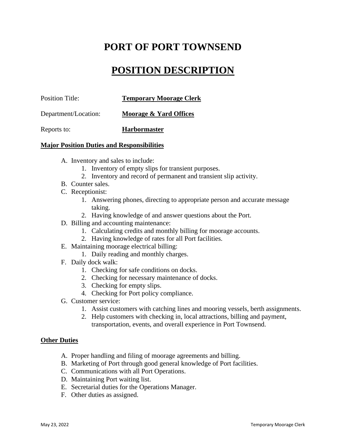# **PORT OF PORT TOWNSEND**

## **POSITION DESCRIPTION**

| <b>Position Title:</b> | <b>Temporary Moorage Clerk</b> |
|------------------------|--------------------------------|
| Department/Location:   | Moorage & Yard Offices         |
| Reports to:            | <b>Harbormaster</b>            |

#### **Major Position Duties and Responsibilities**

- A. Inventory and sales to include:
	- 1. Inventory of empty slips for transient purposes.
	- 2. Inventory and record of permanent and transient slip activity.
- B. Counter sales.
- C. Receptionist:
	- 1. Answering phones, directing to appropriate person and accurate message taking.
	- 2. Having knowledge of and answer questions about the Port.
- D. Billing and accounting maintenance:
	- 1. Calculating credits and monthly billing for moorage accounts.
	- 2. Having knowledge of rates for all Port facilities.
- E. Maintaining moorage electrical billing:
	- 1. Daily reading and monthly charges.
- F. Daily dock walk:
	- 1. Checking for safe conditions on docks.
	- 2. Checking for necessary maintenance of docks.
	- 3. Checking for empty slips.
	- 4. Checking for Port policy compliance.
- G. Customer service:
	- 1. Assist customers with catching lines and mooring vessels, berth assignments.
	- 2. Help customers with checking in, local attractions, billing and payment, transportation, events, and overall experience in Port Townsend.

#### **Other Duties**

- A. Proper handling and filing of moorage agreements and billing.
- B. Marketing of Port through good general knowledge of Port facilities.
- C. Communications with all Port Operations.
- D. Maintaining Port waiting list.
- E. Secretarial duties for the Operations Manager.
- F. Other duties as assigned.